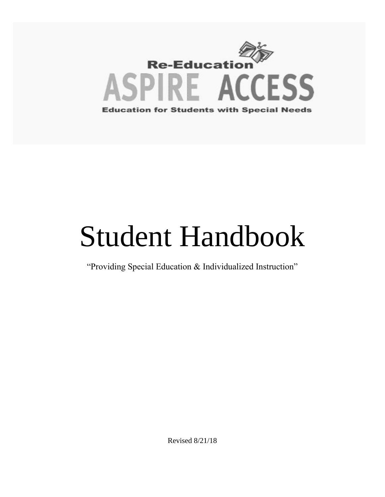

# Student Handbook

"Providing Special Education & Individualized Instruction"

Revised 8/21/18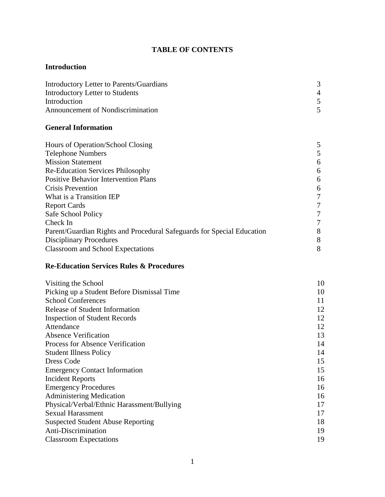# **TABLE OF CONTENTS**

## **Introduction**

| Introductory Letter to Parents/Guardians |  |
|------------------------------------------|--|
| Introductory Letter to Students          |  |
| Introduction                             |  |
| Announcement of Nondiscrimination        |  |

# **General Information**

| Hours of Operation/School Closing                                      | 5 |
|------------------------------------------------------------------------|---|
| <b>Telephone Numbers</b>                                               |   |
| <b>Mission Statement</b>                                               | 6 |
| <b>Re-Education Services Philosophy</b>                                | 6 |
| <b>Positive Behavior Intervention Plans</b>                            | 6 |
| <b>Crisis Prevention</b>                                               | 6 |
| What is a Transition IEP                                               | 7 |
| <b>Report Cards</b>                                                    | 7 |
| Safe School Policy                                                     | 7 |
| Check In                                                               | 7 |
| Parent/Guardian Rights and Procedural Safeguards for Special Education | 8 |
| <b>Disciplinary Procedures</b>                                         | 8 |
| Classroom and School Expectations                                      | 8 |

## **Re-Education Services Rules & Procedures**

| Visiting the School                        | 10 |
|--------------------------------------------|----|
| Picking up a Student Before Dismissal Time | 10 |
| <b>School Conferences</b>                  | 11 |
| <b>Release of Student Information</b>      | 12 |
| <b>Inspection of Student Records</b>       | 12 |
| Attendance                                 | 12 |
| <b>Absence Verification</b>                | 13 |
| Process for Absence Verification           | 14 |
| <b>Student Illness Policy</b>              | 14 |
| <b>Dress Code</b>                          | 15 |
| <b>Emergency Contact Information</b>       | 15 |
| Incident Reports                           | 16 |
| <b>Emergency Procedures</b>                | 16 |
| <b>Administering Medication</b>            | 16 |
| Physical/Verbal/Ethnic Harassment/Bullying | 17 |
| <b>Sexual Harassment</b>                   | 17 |
| <b>Suspected Student Abuse Reporting</b>   | 18 |
| Anti-Discrimination                        | 19 |
| <b>Classroom Expectations</b>              | 19 |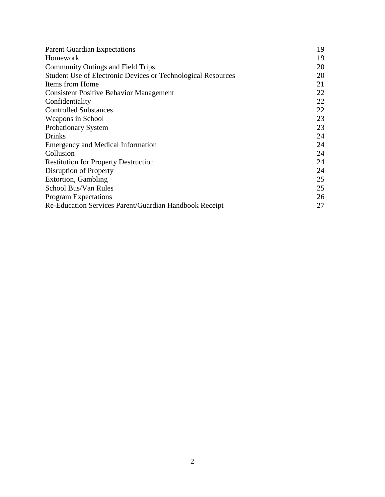| <b>Parent Guardian Expectations</b>                          | 19 |
|--------------------------------------------------------------|----|
| Homework                                                     | 19 |
| <b>Community Outings and Field Trips</b>                     | 20 |
| Student Use of Electronic Devices or Technological Resources | 20 |
| Items from Home                                              | 21 |
| <b>Consistent Positive Behavior Management</b>               | 22 |
| Confidentiality                                              | 22 |
| <b>Controlled Substances</b>                                 | 22 |
| Weapons in School                                            | 23 |
| <b>Probationary System</b>                                   | 23 |
| <b>Drinks</b>                                                | 24 |
| Emergency and Medical Information                            | 24 |
| Collusion                                                    | 24 |
| <b>Restitution for Property Destruction</b>                  | 24 |
| Disruption of Property                                       | 24 |
| <b>Extortion, Gambling</b>                                   | 25 |
| School Bus/Van Rules                                         | 25 |
| <b>Program Expectations</b>                                  | 26 |
| Re-Education Services Parent/Guardian Handbook Receipt       | 27 |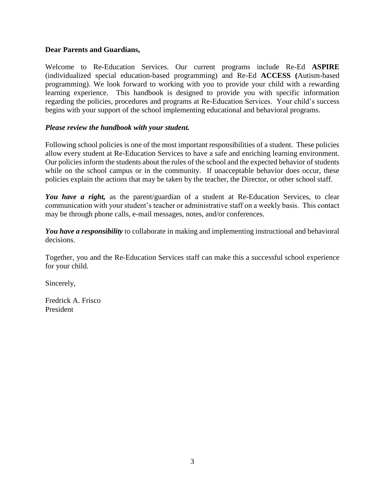#### **Dear Parents and Guardians,**

Welcome to Re-Education Services. Our current programs include Re-Ed **ASPIRE**  (individualized special education-based programming) and Re-Ed **ACCESS (**Autism-based programming). We look forward to working with you to provide your child with a rewarding learning experience. This handbook is designed to provide you with specific information regarding the policies, procedures and programs at Re-Education Services. Your child's success begins with your support of the school implementing educational and behavioral programs.

#### *Please review the handbook with your student.*

Following school policies is one of the most important responsibilities of a student. These policies allow every student at Re-Education Services to have a safe and enriching learning environment. Our policies inform the students about the rules of the school and the expected behavior of students while on the school campus or in the community. If unacceptable behavior does occur, these policies explain the actions that may be taken by the teacher, the Director, or other school staff.

*You have a right,* as the parent/guardian of a student at Re-Education Services, to clear communication with your student's teacher or administrative staff on a weekly basis. This contact may be through phone calls, e-mail messages, notes, and/or conferences.

*You have a responsibility* to collaborate in making and implementing instructional and behavioral decisions.

Together, you and the Re-Education Services staff can make this a successful school experience for your child.

Sincerely,

Fredrick A. Frisco President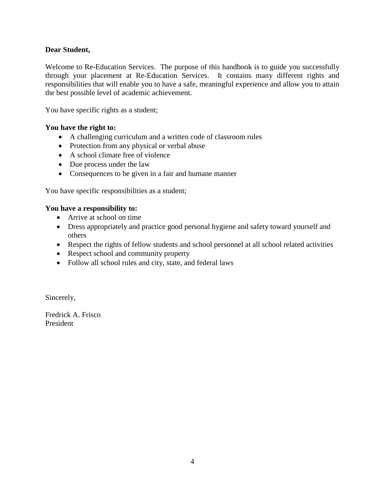## **Dear Student,**

Welcome to Re-Education Services. The purpose of this handbook is to guide you successfully through your placement at Re-Education Services. It contains many different rights and responsibilities that will enable you to have a safe, meaningful experience and allow you to attain the best possible level of academic achievement.

You have specific rights as a student;

## **You have the right to:**

- A challenging curriculum and a written code of classroom rules
- Protection from any physical or verbal abuse
- A school climate free of violence
- Due process under the law
- Consequences to be given in a fair and humane manner

You have specific responsibilities as a student;

#### **You have a responsibility to:**

- Arrive at school on time
- Dress appropriately and practice good personal hygiene and safety toward yourself and others
- Respect the rights of fellow students and school personnel at all school related activities
- Respect school and community property
- Follow all school rules and city, state, and federal laws

Sincerely,

Fredrick A. Frisco President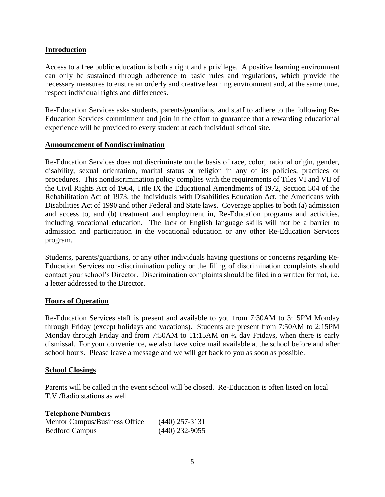#### **Introduction**

Access to a free public education is both a right and a privilege. A positive learning environment can only be sustained through adherence to basic rules and regulations, which provide the necessary measures to ensure an orderly and creative learning environment and, at the same time, respect individual rights and differences.

Re-Education Services asks students, parents/guardians, and staff to adhere to the following Re-Education Services commitment and join in the effort to guarantee that a rewarding educational experience will be provided to every student at each individual school site.

#### **Announcement of Nondiscrimination**

Re-Education Services does not discriminate on the basis of race, color, national origin, gender, disability, sexual orientation, marital status or religion in any of its policies, practices or procedures. This nondiscrimination policy complies with the requirements of Tiles VI and VII of the Civil Rights Act of 1964, Title IX the Educational Amendments of 1972, Section 504 of the Rehabilitation Act of 1973, the Individuals with Disabilities Education Act, the Americans with Disabilities Act of 1990 and other Federal and State laws. Coverage applies to both (a) admission and access to, and (b) treatment and employment in, Re-Education programs and activities, including vocational education. The lack of English language skills will not be a barrier to admission and participation in the vocational education or any other Re-Education Services program.

Students, parents/guardians, or any other individuals having questions or concerns regarding Re-Education Services non-discrimination policy or the filing of discrimination complaints should contact your school's Director. Discrimination complaints should be filed in a written format, i.e. a letter addressed to the Director.

#### **Hours of Operation**

Re-Education Services staff is present and available to you from 7:30AM to 3:15PM Monday through Friday (except holidays and vacations). Students are present from 7:50AM to 2:15PM Monday through Friday and from 7:50AM to 11:15AM on  $\frac{1}{2}$  day Fridays, when there is early dismissal. For your convenience, we also have voice mail available at the school before and after school hours. Please leave a message and we will get back to you as soon as possible.

#### **School Closings**

Parents will be called in the event school will be closed. Re-Education is often listed on local T.V./Radio stations as well.

#### **Telephone Numbers**

| Mentor Campus/Business Office | $(440)$ 257-3131 |
|-------------------------------|------------------|
| <b>Bedford Campus</b>         | $(440)$ 232-9055 |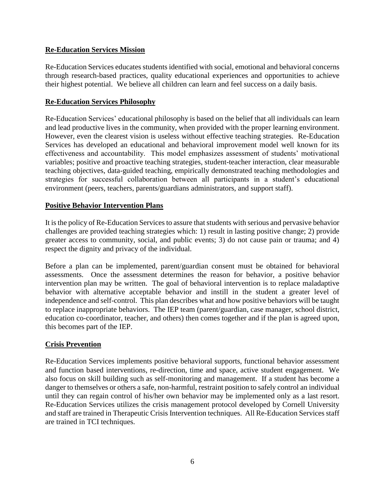## **Re-Education Services Mission**

Re-Education Services educates students identified with social, emotional and behavioral concerns through research-based practices, quality educational experiences and opportunities to achieve their highest potential. We believe all children can learn and feel success on a daily basis.

## **Re-Education Services Philosophy**

Re-Education Services' educational philosophy is based on the belief that all individuals can learn and lead productive lives in the community, when provided with the proper learning environment. However, even the clearest vision is useless without effective teaching strategies. Re-Education Services has developed an educational and behavioral improvement model well known for its effectiveness and accountability. This model emphasizes assessment of students' motivational variables; positive and proactive teaching strategies, student-teacher interaction, clear measurable teaching objectives, data-guided teaching, empirically demonstrated teaching methodologies and strategies for successful collaboration between all participants in a student's educational environment (peers, teachers, parents/guardians administrators, and support staff).

## **Positive Behavior Intervention Plans**

It is the policy of Re-Education Services to assure that students with serious and pervasive behavior challenges are provided teaching strategies which: 1) result in lasting positive change; 2) provide greater access to community, social, and public events; 3) do not cause pain or trauma; and 4) respect the dignity and privacy of the individual.

Before a plan can be implemented, parent/guardian consent must be obtained for behavioral assessments. Once the assessment determines the reason for behavior, a positive behavior intervention plan may be written. The goal of behavioral intervention is to replace maladaptive behavior with alternative acceptable behavior and instill in the student a greater level of independence and self-control. This plan describes what and how positive behaviors will be taught to replace inappropriate behaviors. The IEP team (parent/guardian, case manager, school district, education co-coordinator, teacher, and others) then comes together and if the plan is agreed upon, this becomes part of the IEP.

# **Crisis Prevention**

Re-Education Services implements positive behavioral supports, functional behavior assessment and function based interventions, re-direction, time and space, active student engagement. We also focus on skill building such as self-monitoring and management. If a student has become a danger to themselves or others a safe, non-harmful, restraint position to safely control an individual until they can regain control of his/her own behavior may be implemented only as a last resort. Re-Education Services utilizes the crisis management protocol developed by Cornell University and staff are trained in Therapeutic Crisis Intervention techniques. All Re-Education Services staff are trained in TCI techniques.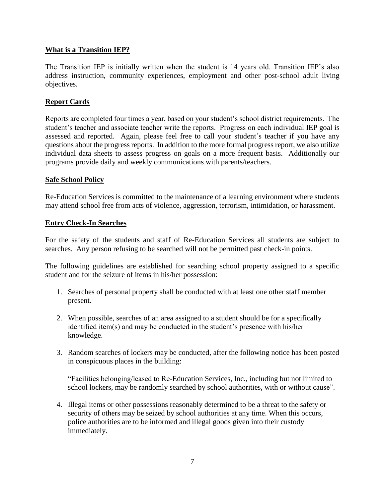## **What is a Transition IEP?**

The Transition IEP is initially written when the student is 14 years old. Transition IEP's also address instruction, community experiences, employment and other post-school adult living objectives.

## **Report Cards**

Reports are completed four times a year, based on your student's school district requirements. The student's teacher and associate teacher write the reports. Progress on each individual IEP goal is assessed and reported. Again, please feel free to call your student's teacher if you have any questions about the progress reports. In addition to the more formal progress report, we also utilize individual data sheets to assess progress on goals on a more frequent basis. Additionally our programs provide daily and weekly communications with parents/teachers.

#### **Safe School Policy**

Re-Education Services is committed to the maintenance of a learning environment where students may attend school free from acts of violence, aggression, terrorism, intimidation, or harassment.

#### **Entry Check-In Searches**

For the safety of the students and staff of Re-Education Services all students are subject to searches. Any person refusing to be searched will not be permitted past check-in points.

The following guidelines are established for searching school property assigned to a specific student and for the seizure of items in his/her possession:

- 1. Searches of personal property shall be conducted with at least one other staff member present.
- 2. When possible, searches of an area assigned to a student should be for a specifically identified item(s) and may be conducted in the student's presence with his/her knowledge.
- 3. Random searches of lockers may be conducted, after the following notice has been posted in conspicuous places in the building:

"Facilities belonging/leased to Re-Education Services, Inc., including but not limited to school lockers, may be randomly searched by school authorities, with or without cause".

4. Illegal items or other possessions reasonably determined to be a threat to the safety or security of others may be seized by school authorities at any time. When this occurs, police authorities are to be informed and illegal goods given into their custody immediately.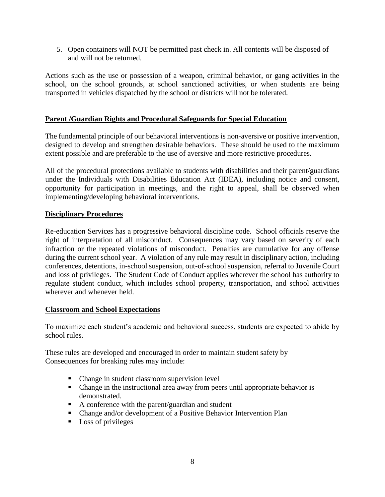5. Open containers will NOT be permitted past check in. All contents will be disposed of and will not be returned.

Actions such as the use or possession of a weapon, criminal behavior, or gang activities in the school, on the school grounds, at school sanctioned activities, or when students are being transported in vehicles dispatched by the school or districts will not be tolerated.

## **Parent /Guardian Rights and Procedural Safeguards for Special Education**

The fundamental principle of our behavioral interventions is non-aversive or positive intervention, designed to develop and strengthen desirable behaviors. These should be used to the maximum extent possible and are preferable to the use of aversive and more restrictive procedures.

All of the procedural protections available to students with disabilities and their parent/guardians under the Individuals with Disabilities Education Act (IDEA), including notice and consent, opportunity for participation in meetings, and the right to appeal, shall be observed when implementing/developing behavioral interventions.

## **Disciplinary Procedures**

Re-education Services has a progressive behavioral discipline code. School officials reserve the right of interpretation of all misconduct. Consequences may vary based on severity of each infraction or the repeated violations of misconduct. Penalties are cumulative for any offense during the current school year. A violation of any rule may result in disciplinary action, including conferences, detentions, in-school suspension, out-of-school suspension, referral to Juvenile Court and loss of privileges. The Student Code of Conduct applies wherever the school has authority to regulate student conduct, which includes school property, transportation, and school activities wherever and whenever held.

#### **Classroom and School Expectations**

To maximize each student's academic and behavioral success, students are expected to abide by school rules.

These rules are developed and encouraged in order to maintain student safety by Consequences for breaking rules may include:

- Change in student classroom supervision level
- Change in the instructional area away from peers until appropriate behavior is demonstrated.
- A conference with the parent/guardian and student
- Change and/or development of a Positive Behavior Intervention Plan
- **Loss of privileges**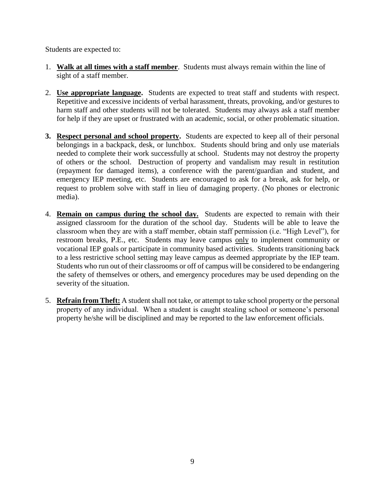Students are expected to:

- 1. **Walk at all times with a staff member**. Students must always remain within the line of sight of a staff member.
- 2. **Use appropriate language.** Students are expected to treat staff and students with respect. Repetitive and excessive incidents of verbal harassment, threats, provoking, and/or gestures to harm staff and other students will not be tolerated. Students may always ask a staff member for help if they are upset or frustrated with an academic, social, or other problematic situation.
- **3. Respect personal and school property.** Students are expected to keep all of their personal belongings in a backpack, desk, or lunchbox. Students should bring and only use materials needed to complete their work successfully at school. Students may not destroy the property of others or the school. Destruction of property and vandalism may result in restitution (repayment for damaged items), a conference with the parent/guardian and student, and emergency IEP meeting, etc. Students are encouraged to ask for a break, ask for help, or request to problem solve with staff in lieu of damaging property. (No phones or electronic media).
- 4. **Remain on campus during the school day.** Students are expected to remain with their assigned classroom for the duration of the school day. Students will be able to leave the classroom when they are with a staff member, obtain staff permission (i.e. "High Level"), for restroom breaks, P.E., etc. Students may leave campus only to implement community or vocational IEP goals or participate in community based activities. Students transitioning back to a less restrictive school setting may leave campus as deemed appropriate by the IEP team. Students who run out of their classrooms or off of campus will be considered to be endangering the safety of themselves or others, and emergency procedures may be used depending on the severity of the situation.
- 5. **Refrain from Theft:** A student shall not take, or attempt to take school property or the personal property of any individual. When a student is caught stealing school or someone's personal property he/she will be disciplined and may be reported to the law enforcement officials.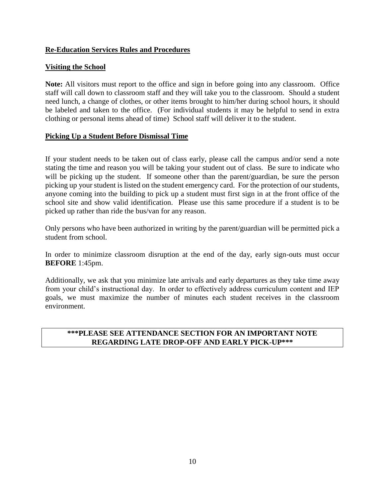## **Re-Education Services Rules and Procedures**

## **Visiting the School**

**Note:** All visitors must report to the office and sign in before going into any classroom. Office staff will call down to classroom staff and they will take you to the classroom. Should a student need lunch, a change of clothes, or other items brought to him/her during school hours, it should be labeled and taken to the office. (For individual students it may be helpful to send in extra clothing or personal items ahead of time) School staff will deliver it to the student.

## **Picking Up a Student Before Dismissal Time**

If your student needs to be taken out of class early, please call the campus and/or send a note stating the time and reason you will be taking your student out of class. Be sure to indicate who will be picking up the student. If someone other than the parent/guardian, be sure the person picking up your student is listed on the student emergency card. For the protection of our students, anyone coming into the building to pick up a student must first sign in at the front office of the school site and show valid identification. Please use this same procedure if a student is to be picked up rather than ride the bus/van for any reason.

Only persons who have been authorized in writing by the parent/guardian will be permitted pick a student from school.

In order to minimize classroom disruption at the end of the day, early sign-outs must occur **BEFORE** 1:45pm.

Additionally, we ask that you minimize late arrivals and early departures as they take time away from your child's instructional day. In order to effectively address curriculum content and IEP goals, we must maximize the number of minutes each student receives in the classroom environment.

## **\*\*\*PLEASE SEE ATTENDANCE SECTION FOR AN IMPORTANT NOTE REGARDING LATE DROP-OFF AND EARLY PICK-UP\*\*\***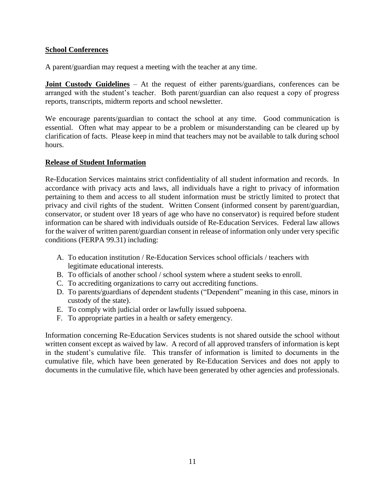## **School Conferences**

A parent/guardian may request a meeting with the teacher at any time.

**Joint Custody Guidelines** – At the request of either parents/guardians, conferences can be arranged with the student's teacher. Both parent/guardian can also request a copy of progress reports, transcripts, midterm reports and school newsletter.

We encourage parents/guardian to contact the school at any time. Good communication is essential. Often what may appear to be a problem or misunderstanding can be cleared up by clarification of facts. Please keep in mind that teachers may not be available to talk during school hours.

## **Release of Student Information**

Re-Education Services maintains strict confidentiality of all student information and records. In accordance with privacy acts and laws, all individuals have a right to privacy of information pertaining to them and access to all student information must be strictly limited to protect that privacy and civil rights of the student. Written Consent (informed consent by parent/guardian, conservator, or student over 18 years of age who have no conservator) is required before student information can be shared with individuals outside of Re-Education Services. Federal law allows for the waiver of written parent/guardian consent in release of information only under very specific conditions (FERPA 99.31) including:

- A. To education institution / Re-Education Services school officials / teachers with legitimate educational interests.
- B. To officials of another school / school system where a student seeks to enroll.
- C. To accrediting organizations to carry out accrediting functions.
- D. To parents/guardians of dependent students ("Dependent" meaning in this case, minors in custody of the state).
- E. To comply with judicial order or lawfully issued subpoena.
- F. To appropriate parties in a health or safety emergency.

Information concerning Re-Education Services students is not shared outside the school without written consent except as waived by law. A record of all approved transfers of information is kept in the student's cumulative file. This transfer of information is limited to documents in the cumulative file, which have been generated by Re-Education Services and does not apply to documents in the cumulative file, which have been generated by other agencies and professionals.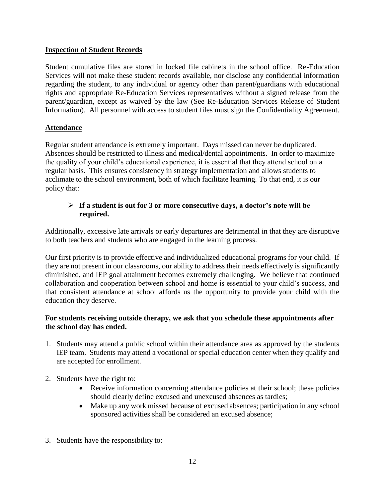## **Inspection of Student Records**

Student cumulative files are stored in locked file cabinets in the school office. Re-Education Services will not make these student records available, nor disclose any confidential information regarding the student, to any individual or agency other than parent/guardians with educational rights and appropriate Re-Education Services representatives without a signed release from the parent/guardian, except as waived by the law (See Re-Education Services Release of Student Information). All personnel with access to student files must sign the Confidentiality Agreement.

## **Attendance**

Regular student attendance is extremely important. Days missed can never be duplicated. Absences should be restricted to illness and medical/dental appointments. In order to maximize the quality of your child's educational experience, it is essential that they attend school on a regular basis. This ensures consistency in strategy implementation and allows students to acclimate to the school environment, both of which facilitate learning. To that end, it is our policy that:

## **If a student is out for 3 or more consecutive days, a doctor's note will be required.**

Additionally, excessive late arrivals or early departures are detrimental in that they are disruptive to both teachers and students who are engaged in the learning process.

Our first priority is to provide effective and individualized educational programs for your child. If they are not present in our classrooms, our ability to address their needs effectively is significantly diminished, and IEP goal attainment becomes extremely challenging. We believe that continued collaboration and cooperation between school and home is essential to your child's success, and that consistent attendance at school affords us the opportunity to provide your child with the education they deserve.

## **For students receiving outside therapy, we ask that you schedule these appointments after the school day has ended.**

- 1. Students may attend a public school within their attendance area as approved by the students IEP team. Students may attend a vocational or special education center when they qualify and are accepted for enrollment.
- 2. Students have the right to:
	- Receive information concerning attendance policies at their school; these policies should clearly define excused and unexcused absences as tardies;
	- Make up any work missed because of excused absences; participation in any school sponsored activities shall be considered an excused absence;
- 3. Students have the responsibility to: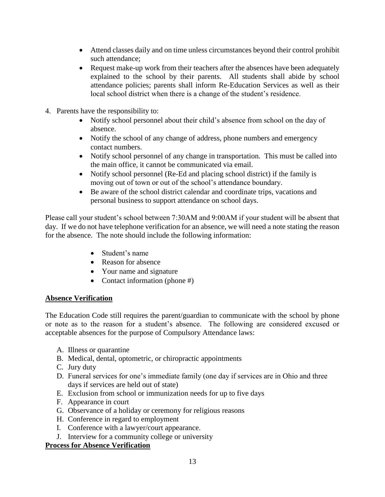- Attend classes daily and on time unless circumstances beyond their control prohibit such attendance;
- Request make-up work from their teachers after the absences have been adequately explained to the school by their parents. All students shall abide by school attendance policies; parents shall inform Re-Education Services as well as their local school district when there is a change of the student's residence.
- 4. Parents have the responsibility to:
	- Notify school personnel about their child's absence from school on the day of absence.
	- Notify the school of any change of address, phone numbers and emergency contact numbers.
	- Notify school personnel of any change in transportation. This must be called into the main office, it cannot be communicated via email.
	- Notify school personnel (Re-Ed and placing school district) if the family is moving out of town or out of the school's attendance boundary.
	- Be aware of the school district calendar and coordinate trips, vacations and personal business to support attendance on school days.

Please call your student's school between 7:30AM and 9:00AM if your student will be absent that day. If we do not have telephone verification for an absence, we will need a note stating the reason for the absence. The note should include the following information:

- Student's name
- Reason for absence
- Your name and signature
- Contact information (phone #)

## **Absence Verification**

The Education Code still requires the parent/guardian to communicate with the school by phone or note as to the reason for a student's absence. The following are considered excused or acceptable absences for the purpose of Compulsory Attendance laws:

- A. Illness or quarantine
- B. Medical, dental, optometric, or chiropractic appointments
- C. Jury duty
- D. Funeral services for one's immediate family (one day if services are in Ohio and three days if services are held out of state)
- E. Exclusion from school or immunization needs for up to five days
- F. Appearance in court
- G. Observance of a holiday or ceremony for religious reasons
- H. Conference in regard to employment
- I. Conference with a lawyer/court appearance.
- J. Interview for a community college or university

## **Process for Absence Verification**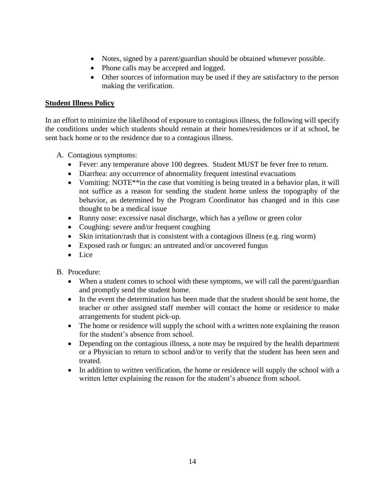- Notes, signed by a parent/guardian should be obtained whenever possible.
- Phone calls may be accepted and logged.
- Other sources of information may be used if they are satisfactory to the person making the verification.

## **Student Illness Policy**

In an effort to minimize the likelihood of exposure to contagious illness, the following will specify the conditions under which students should remain at their homes/residences or if at school, be sent back home or to the residence due to a contagious illness.

- A. Contagious symptoms:
	- Fever: any temperature above 100 degrees. Student MUST be fever free to return.
	- Diarrhea: any occurrence of abnormality frequent intestinal evacuations
	- Vomiting: NOTE<sup>\*\*</sup>in the case that vomiting is being treated in a behavior plan, it will not suffice as a reason for sending the student home unless the topography of the behavior, as determined by the Program Coordinator has changed and in this case thought to be a medical issue
	- Runny nose: excessive nasal discharge, which has a yellow or green color
	- Coughing: severe and/or frequent coughing
	- Skin irritation/rash that is consistent with a contagious illness (e.g. ring worm)
	- Exposed rash or fungus: an untreated and/or uncovered fungus
	- Lice

#### B. Procedure:

- When a student comes to school with these symptoms, we will call the parent/guardian and promptly send the student home.
- In the event the determination has been made that the student should be sent home, the teacher or other assigned staff member will contact the home or residence to make arrangements for student pick-up.
- The home or residence will supply the school with a written note explaining the reason for the student's absence from school.
- Depending on the contagious illness, a note may be required by the health department or a Physician to return to school and/or to verify that the student has been seen and treated.
- In addition to written verification, the home or residence will supply the school with a written letter explaining the reason for the student's absence from school.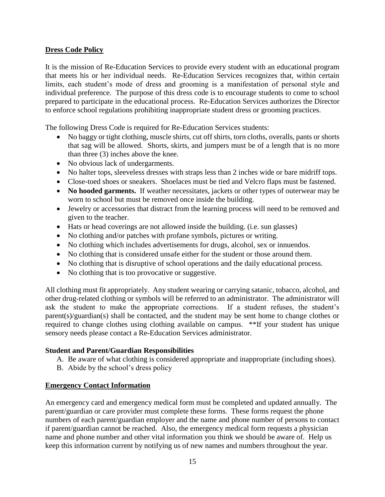## **Dress Code Policy**

It is the mission of Re-Education Services to provide every student with an educational program that meets his or her individual needs. Re-Education Services recognizes that, within certain limits, each student's mode of dress and grooming is a manifestation of personal style and individual preference. The purpose of this dress code is to encourage students to come to school prepared to participate in the educational process. Re-Education Services authorizes the Director to enforce school regulations prohibiting inappropriate student dress or grooming practices.

The following Dress Code is required for Re-Education Services students:

- No baggy or tight clothing, muscle shirts, cut off shirts, torn cloths, overalls, pants or shorts that sag will be allowed. Shorts, skirts, and jumpers must be of a length that is no more than three (3) inches above the knee.
- No obvious lack of undergarments.
- No halter tops, sleeveless dresses with straps less than 2 inches wide or bare midriff tops.
- Close-toed shoes or sneakers. Shoelaces must be tied and Velcro flaps must be fastened.
- No hooded garments. If weather necessitates, jackets or other types of outerwear may be worn to school but must be removed once inside the building.
- Jewelry or accessories that distract from the learning process will need to be removed and given to the teacher.
- Hats or head coverings are not allowed inside the building. (i.e. sun glasses)
- No clothing and/or patches with profane symbols, pictures or writing.
- No clothing which includes advertisements for drugs, alcohol, sex or innuendos.
- No clothing that is considered unsafe either for the student or those around them.
- No clothing that is disruptive of school operations and the daily educational process.
- No clothing that is too provocative or suggestive.

All clothing must fit appropriately. Any student wearing or carrying satanic, tobacco, alcohol, and other drug-related clothing or symbols will be referred to an administrator. The administrator will ask the student to make the appropriate corrections. If a student refuses, the student's parent(s)/guardian(s) shall be contacted, and the student may be sent home to change clothes or required to change clothes using clothing available on campus. \*\*If your student has unique sensory needs please contact a Re-Education Services administrator.

#### **Student and Parent/Guardian Responsibilities**

- A. Be aware of what clothing is considered appropriate and inappropriate (including shoes).
- B. Abide by the school's dress policy

#### **Emergency Contact Information**

An emergency card and emergency medical form must be completed and updated annually. The parent/guardian or care provider must complete these forms. These forms request the phone numbers of each parent/guardian employer and the name and phone number of persons to contact if parent/guardian cannot be reached. Also, the emergency medical form requests a physician name and phone number and other vital information you think we should be aware of. Help us keep this information current by notifying us of new names and numbers throughout the year.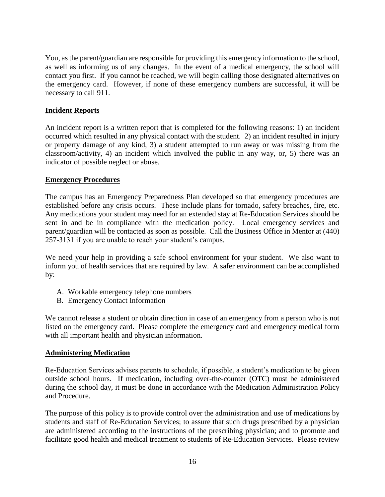You, as the parent/guardian are responsible for providing this emergency information to the school, as well as informing us of any changes. In the event of a medical emergency, the school will contact you first. If you cannot be reached, we will begin calling those designated alternatives on the emergency card. However, if none of these emergency numbers are successful, it will be necessary to call 911.

## **Incident Reports**

An incident report is a written report that is completed for the following reasons: 1) an incident occurred which resulted in any physical contact with the student. 2) an incident resulted in injury or property damage of any kind, 3) a student attempted to run away or was missing from the classroom/activity, 4) an incident which involved the public in any way, or, 5) there was an indicator of possible neglect or abuse.

## **Emergency Procedures**

The campus has an Emergency Preparedness Plan developed so that emergency procedures are established before any crisis occurs. These include plans for tornado, safety breaches, fire, etc. Any medications your student may need for an extended stay at Re-Education Services should be sent in and be in compliance with the medication policy. Local emergency services and parent/guardian will be contacted as soon as possible. Call the Business Office in Mentor at (440) 257-3131 if you are unable to reach your student's campus.

We need your help in providing a safe school environment for your student. We also want to inform you of health services that are required by law. A safer environment can be accomplished by:

- A. Workable emergency telephone numbers
- B. Emergency Contact Information

We cannot release a student or obtain direction in case of an emergency from a person who is not listed on the emergency card. Please complete the emergency card and emergency medical form with all important health and physician information.

## **Administering Medication**

Re-Education Services advises parents to schedule, if possible, a student's medication to be given outside school hours. If medication, including over-the-counter (OTC) must be administered during the school day, it must be done in accordance with the Medication Administration Policy and Procedure.

The purpose of this policy is to provide control over the administration and use of medications by students and staff of Re-Education Services; to assure that such drugs prescribed by a physician are administered according to the instructions of the prescribing physician; and to promote and facilitate good health and medical treatment to students of Re-Education Services. Please review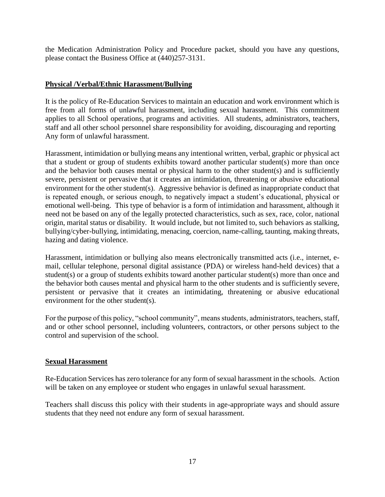the Medication Administration Policy and Procedure packet, should you have any questions, please contact the Business Office at (440)257-3131.

## **Physical /Verbal/Ethnic Harassment/Bullying**

It is the policy of Re-Education Services to maintain an education and work environment which is free from all forms of unlawful harassment, including sexual harassment. This commitment applies to all School operations, programs and activities. All students, administrators, teachers, staff and all other school personnel share responsibility for avoiding, discouraging and reporting Any form of unlawful harassment.

Harassment, intimidation or bullying means any intentional written, verbal, graphic or physical act that a student or group of students exhibits toward another particular student(s) more than once and the behavior both causes mental or physical harm to the other student(s) and is sufficiently severe, persistent or pervasive that it creates an intimidation, threatening or abusive educational environment for the other student(s). Aggressive behavior is defined as inappropriate conduct that is repeated enough, or serious enough, to negatively impact a student's educational, physical or emotional well-being. This type of behavior is a form of intimidation and harassment, although it need not be based on any of the legally protected characteristics, such as sex, race, color, national origin, marital status or disability. It would include, but not limited to, such behaviors as stalking, bullying/cyber-bullying, intimidating, menacing, coercion, name-calling, taunting, making threats, hazing and dating violence.

Harassment, intimidation or bullying also means electronically transmitted acts (i.e., internet, email, cellular telephone, personal digital assistance (PDA) or wireless hand-held devices) that a student(s) or a group of students exhibits toward another particular student(s) more than once and the behavior both causes mental and physical harm to the other students and is sufficiently severe, persistent or pervasive that it creates an intimidating, threatening or abusive educational environment for the other student(s).

For the purpose of this policy, "school community", means students, administrators, teachers, staff, and or other school personnel, including volunteers, contractors, or other persons subject to the control and supervision of the school.

#### **Sexual Harassment**

Re-Education Services has zero tolerance for any form of sexual harassment in the schools. Action will be taken on any employee or student who engages in unlawful sexual harassment.

Teachers shall discuss this policy with their students in age-appropriate ways and should assure students that they need not endure any form of sexual harassment.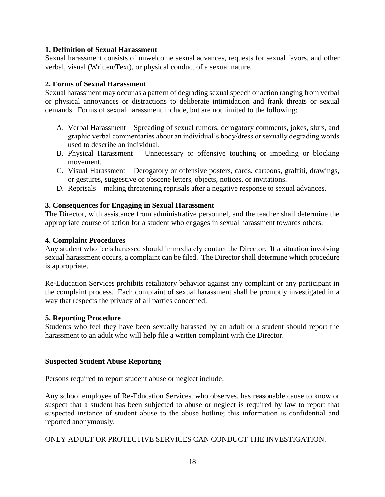## **1. Definition of Sexual Harassment**

Sexual harassment consists of unwelcome sexual advances, requests for sexual favors, and other verbal, visual (Written/Text), or physical conduct of a sexual nature.

## **2. Forms of Sexual Harassment**

Sexual harassment may occur as a pattern of degrading sexual speech or action ranging from verbal or physical annoyances or distractions to deliberate intimidation and frank threats or sexual demands. Forms of sexual harassment include, but are not limited to the following:

- A. Verbal Harassment Spreading of sexual rumors, derogatory comments, jokes, slurs, and graphic verbal commentaries about an individual's body/dress or sexually degrading words used to describe an individual.
- B. Physical Harassment Unnecessary or offensive touching or impeding or blocking movement.
- C. Visual Harassment Derogatory or offensive posters, cards, cartoons, graffiti, drawings, or gestures, suggestive or obscene letters, objects, notices, or invitations.
- D. Reprisals making threatening reprisals after a negative response to sexual advances.

## **3. Consequences for Engaging in Sexual Harassment**

The Director, with assistance from administrative personnel, and the teacher shall determine the appropriate course of action for a student who engages in sexual harassment towards others.

## **4. Complaint Procedures**

Any student who feels harassed should immediately contact the Director. If a situation involving sexual harassment occurs, a complaint can be filed. The Director shall determine which procedure is appropriate.

Re-Education Services prohibits retaliatory behavior against any complaint or any participant in the complaint process. Each complaint of sexual harassment shall be promptly investigated in a way that respects the privacy of all parties concerned.

#### **5. Reporting Procedure**

Students who feel they have been sexually harassed by an adult or a student should report the harassment to an adult who will help file a written complaint with the Director.

#### **Suspected Student Abuse Reporting**

Persons required to report student abuse or neglect include:

Any school employee of Re-Education Services, who observes, has reasonable cause to know or suspect that a student has been subjected to abuse or neglect is required by law to report that suspected instance of student abuse to the abuse hotline; this information is confidential and reported anonymously.

#### ONLY ADULT OR PROTECTIVE SERVICES CAN CONDUCT THE INVESTIGATION.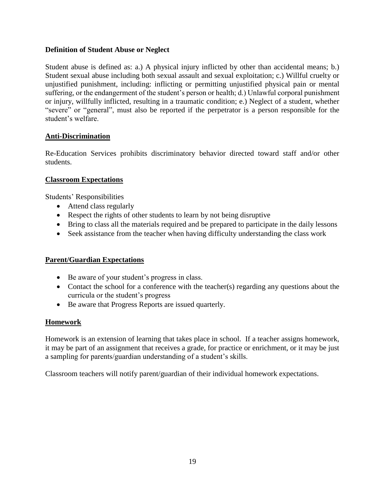## **Definition of Student Abuse or Neglect**

Student abuse is defined as: a.) A physical injury inflicted by other than accidental means; b.) Student sexual abuse including both sexual assault and sexual exploitation; c.) Willful cruelty or unjustified punishment, including: inflicting or permitting unjustified physical pain or mental suffering, or the endangerment of the student's person or health; d.) Unlawful corporal punishment or injury, willfully inflicted, resulting in a traumatic condition; e.) Neglect of a student, whether "severe" or "general", must also be reported if the perpetrator is a person responsible for the student's welfare.

## **Anti-Discrimination**

Re-Education Services prohibits discriminatory behavior directed toward staff and/or other students.

## **Classroom Expectations**

Students' Responsibilities

- Attend class regularly
- Respect the rights of other students to learn by not being disruptive
- Bring to class all the materials required and be prepared to participate in the daily lessons
- Seek assistance from the teacher when having difficulty understanding the class work

## **Parent/Guardian Expectations**

- Be aware of your student's progress in class.
- Contact the school for a conference with the teacher(s) regarding any questions about the curricula or the student's progress
- Be aware that Progress Reports are issued quarterly.

#### **Homework**

Homework is an extension of learning that takes place in school. If a teacher assigns homework, it may be part of an assignment that receives a grade, for practice or enrichment, or it may be just a sampling for parents/guardian understanding of a student's skills.

Classroom teachers will notify parent/guardian of their individual homework expectations.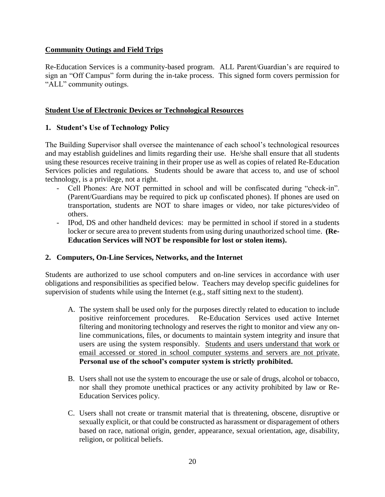## **Community Outings and Field Trips**

Re-Education Services is a community-based program. ALL Parent/Guardian's are required to sign an "Off Campus" form during the in-take process. This signed form covers permission for "ALL" community outings.

## **Student Use of Electronic Devices or Technological Resources**

## **1. Student's Use of Technology Policy**

The Building Supervisor shall oversee the maintenance of each school's technological resources and may establish guidelines and limits regarding their use. He/she shall ensure that all students using these resources receive training in their proper use as well as copies of related Re-Education Services policies and regulations. Students should be aware that access to, and use of school technology, is a privilege, not a right.

- Cell Phones: Are NOT permitted in school and will be confiscated during "check-in". (Parent/Guardians may be required to pick up confiscated phones). If phones are used on transportation, students are NOT to share images or video, nor take pictures/video of others.
- IPod, DS and other handheld devices: may be permitted in school if stored in a students locker or secure area to prevent students from using during unauthorized school time. **(Re-Education Services will NOT be responsible for lost or stolen items).**

#### **2. Computers, On-Line Services, Networks, and the Internet**

Students are authorized to use school computers and on-line services in accordance with user obligations and responsibilities as specified below. Teachers may develop specific guidelines for supervision of students while using the Internet (e.g., staff sitting next to the student).

- A. The system shall be used only for the purposes directly related to education to include positive reinforcement procedures. Re-Education Services used active Internet filtering and monitoring technology and reserves the right to monitor and view any online communications, files, or documents to maintain system integrity and insure that users are using the system responsibly. Students and users understand that work or email accessed or stored in school computer systems and servers are not private. **Personal use of the school's computer system is strictly prohibited.**
- B. Users shall not use the system to encourage the use or sale of drugs, alcohol or tobacco, nor shall they promote unethical practices or any activity prohibited by law or Re-Education Services policy.
- C. Users shall not create or transmit material that is threatening, obscene, disruptive or sexually explicit, or that could be constructed as harassment or disparagement of others based on race, national origin, gender, appearance, sexual orientation, age, disability, religion, or political beliefs.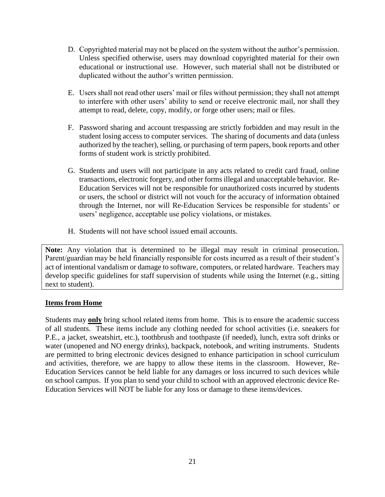- D. Copyrighted material may not be placed on the system without the author's permission. Unless specified otherwise, users may download copyrighted material for their own educational or instructional use. However, such material shall not be distributed or duplicated without the author's written permission.
- E. Users shall not read other users' mail or files without permission; they shall not attempt to interfere with other users' ability to send or receive electronic mail, nor shall they attempt to read, delete, copy, modify, or forge other users; mail or files.
- F. Password sharing and account trespassing are strictly forbidden and may result in the student losing access to computer services. The sharing of documents and data (unless authorized by the teacher), selling, or purchasing of term papers, book reports and other forms of student work is strictly prohibited.
- G. Students and users will not participate in any acts related to credit card fraud, online transactions, electronic forgery, and other forms illegal and unacceptable behavior. Re-Education Services will not be responsible for unauthorized costs incurred by students or users, the school or district will not vouch for the accuracy of information obtained through the Internet, nor will Re-Education Services be responsible for students' or users' negligence, acceptable use policy violations, or mistakes.
- H. Students will not have school issued email accounts.

**Note:** Any violation that is determined to be illegal may result in criminal prosecution. Parent/guardian may be held financially responsible for costs incurred as a result of their student's act of intentional vandalism or damage to software, computers, or related hardware. Teachers may develop specific guidelines for staff supervision of students while using the Internet (e.g., sitting next to student).

## **Items from Home**

Students may **only** bring school related items from home. This is to ensure the academic success of all students. These items include any clothing needed for school activities (i.e. sneakers for P.E., a jacket, sweatshirt, etc.), toothbrush and toothpaste (if needed), lunch, extra soft drinks or water (unopened and NO energy drinks), backpack, notebook, and writing instruments. Students are permitted to bring electronic devices designed to enhance participation in school curriculum and activities, therefore, we are happy to allow these items in the classroom. However, Re-Education Services cannot be held liable for any damages or loss incurred to such devices while on school campus. If you plan to send your child to school with an approved electronic device Re-Education Services will NOT be liable for any loss or damage to these items/devices.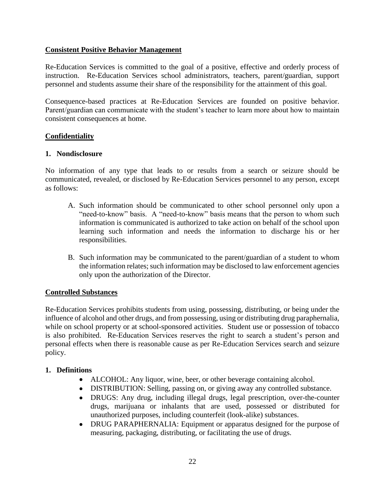## **Consistent Positive Behavior Management**

Re-Education Services is committed to the goal of a positive, effective and orderly process of instruction. Re-Education Services school administrators, teachers, parent/guardian, support personnel and students assume their share of the responsibility for the attainment of this goal.

Consequence-based practices at Re-Education Services are founded on positive behavior. Parent/guardian can communicate with the student's teacher to learn more about how to maintain consistent consequences at home.

## **Confidentiality**

#### **1. Nondisclosure**

No information of any type that leads to or results from a search or seizure should be communicated, revealed, or disclosed by Re-Education Services personnel to any person, except as follows:

- A. Such information should be communicated to other school personnel only upon a "need-to-know" basis. A "need-to-know" basis means that the person to whom such information is communicated is authorized to take action on behalf of the school upon learning such information and needs the information to discharge his or her responsibilities.
- B. Such information may be communicated to the parent/guardian of a student to whom the information relates; such information may be disclosed to law enforcement agencies only upon the authorization of the Director.

## **Controlled Substances**

Re-Education Services prohibits students from using, possessing, distributing, or being under the influence of alcohol and other drugs, and from possessing, using or distributing drug paraphernalia, while on school property or at school-sponsored activities. Student use or possession of tobacco is also prohibited. Re-Education Services reserves the right to search a student's person and personal effects when there is reasonable cause as per Re-Education Services search and seizure policy.

## **1. Definitions**

- ALCOHOL: Any liquor, wine, beer, or other beverage containing alcohol.
- DISTRIBUTION: Selling, passing on, or giving away any controlled substance.
- DRUGS: Any drug, including illegal drugs, legal prescription, over-the-counter drugs, marijuana or inhalants that are used, possessed or distributed for unauthorized purposes, including counterfeit (look-alike) substances.
- DRUG PARAPHERNALIA: Equipment or apparatus designed for the purpose of measuring, packaging, distributing, or facilitating the use of drugs.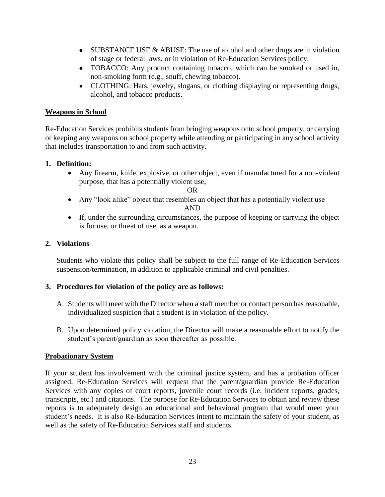- $\bullet$  SUBSTANCE USE & ABUSE: The use of alcohol and other drugs are in violation of stage or federal laws, or in violation of Re-Education Services policy.
- TOBACCO: Any product containing tobacco, which can be smoked or used in, non-smoking form (e.g., snuff, chewing tobacco).
- CLOTHING: Hats, jewelry, slogans, or clothing displaying or representing drugs, alcohol, and tobacco products.

## **Weapons in School**

Re-Education Services prohibits students from bringing weapons onto school property, or carrying or keeping any weapons on school property while attending or participating in any school activity that includes transportation to and from such activity.

## **1. Definition:**

 Any firearm, knife, explosive, or other object, even if manufactured for a non-violent purpose, that has a potentially violent use,

OR

- Any "look alike" object that resembles an object that has a potentially violent use AND
- If, under the surrounding circumstances, the purpose of keeping or carrying the object is for use, or threat of use, as a weapon.

## **2. Violations**

Students who violate this policy shall be subject to the full range of Re-Education Services suspension/termination, in addition to applicable criminal and civil penalties.

# **3. Procedures for violation of the policy are as follows:**

- A. Students will meet with the Director when a staff member or contact person has reasonable, individualized suspicion that a student is in violation of the policy.
- B. Upon determined policy violation, the Director will make a reasonable effort to notify the student's parent/guardian as soon thereafter as possible.

## **Probationary System**

If your student has involvement with the criminal justice system, and has a probation officer assigned, Re-Education Services will request that the parent/guardian provide Re-Education Services with any copies of court reports, juvenile court records (i.e. incident reports, grades, transcripts, etc.) and citations. The purpose for Re-Education Services to obtain and review these reports is to adequately design an educational and behavioral program that would meet your student's needs. It is also Re-Education Services intent to maintain the safety of your student, as well as the safety of Re-Education Services staff and students.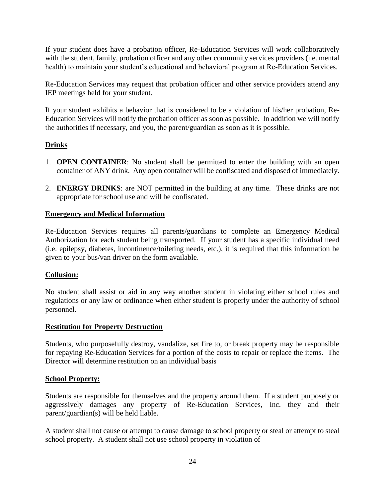If your student does have a probation officer, Re-Education Services will work collaboratively with the student, family, probation officer and any other community services providers (i.e. mental health) to maintain your student's educational and behavioral program at Re-Education Services.

Re-Education Services may request that probation officer and other service providers attend any IEP meetings held for your student.

If your student exhibits a behavior that is considered to be a violation of his/her probation, Re-Education Services will notify the probation officer as soon as possible. In addition we will notify the authorities if necessary, and you, the parent/guardian as soon as it is possible.

## **Drinks**

- 1. **OPEN CONTAINER**: No student shall be permitted to enter the building with an open container of ANY drink. Any open container will be confiscated and disposed of immediately.
- 2. **ENERGY DRINKS**: are NOT permitted in the building at any time. These drinks are not appropriate for school use and will be confiscated.

## **Emergency and Medical Information**

Re-Education Services requires all parents/guardians to complete an Emergency Medical Authorization for each student being transported. If your student has a specific individual need (i.e. epilepsy, diabetes, incontinence/toileting needs, etc.), it is required that this information be given to your bus/van driver on the form available.

## **Collusion:**

No student shall assist or aid in any way another student in violating either school rules and regulations or any law or ordinance when either student is properly under the authority of school personnel.

## **Restitution for Property Destruction**

Students, who purposefully destroy, vandalize, set fire to, or break property may be responsible for repaying Re-Education Services for a portion of the costs to repair or replace the items. The Director will determine restitution on an individual basis

## **School Property:**

Students are responsible for themselves and the property around them. If a student purposely or aggressively damages any property of Re-Education Services, Inc. they and their parent/guardian(s) will be held liable.

A student shall not cause or attempt to cause damage to school property or steal or attempt to steal school property. A student shall not use school property in violation of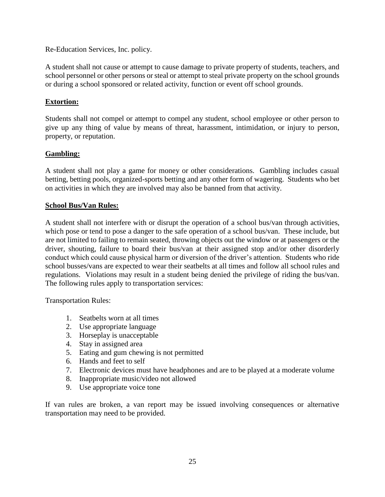Re-Education Services, Inc. policy.

A student shall not cause or attempt to cause damage to private property of students, teachers, and school personnel or other persons or steal or attempt to steal private property on the school grounds or during a school sponsored or related activity, function or event off school grounds.

## **Extortion:**

Students shall not compel or attempt to compel any student, school employee or other person to give up any thing of value by means of threat, harassment, intimidation, or injury to person, property, or reputation.

## **Gambling:**

A student shall not play a game for money or other considerations. Gambling includes casual betting, betting pools, organized-sports betting and any other form of wagering. Students who bet on activities in which they are involved may also be banned from that activity.

#### **School Bus/Van Rules:**

A student shall not interfere with or disrupt the operation of a school bus/van through activities, which pose or tend to pose a danger to the safe operation of a school bus/van. These include, but are not limited to failing to remain seated, throwing objects out the window or at passengers or the driver, shouting, failure to board their bus/van at their assigned stop and/or other disorderly conduct which could cause physical harm or diversion of the driver's attention. Students who ride school busses/vans are expected to wear their seatbelts at all times and follow all school rules and regulations. Violations may result in a student being denied the privilege of riding the bus/van. The following rules apply to transportation services:

Transportation Rules:

- 1. Seatbelts worn at all times
- 2. Use appropriate language
- 3. Horseplay is unacceptable
- 4. Stay in assigned area
- 5. Eating and gum chewing is not permitted
- 6. Hands and feet to self
- 7. Electronic devices must have headphones and are to be played at a moderate volume
- 8. Inappropriate music/video not allowed
- 9. Use appropriate voice tone

If van rules are broken, a van report may be issued involving consequences or alternative transportation may need to be provided.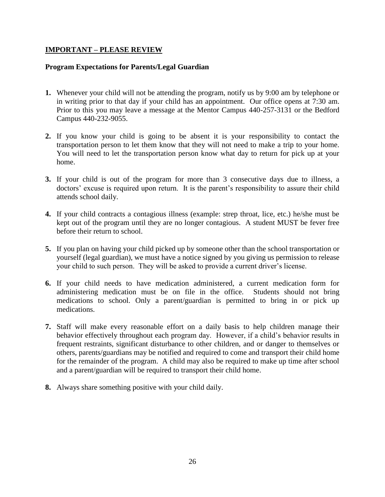## **IMPORTANT – PLEASE REVIEW**

#### **Program Expectations for Parents/Legal Guardian**

- **1.** Whenever your child will not be attending the program, notify us by 9:00 am by telephone or in writing prior to that day if your child has an appointment. Our office opens at 7:30 am. Prior to this you may leave a message at the Mentor Campus 440-257-3131 or the Bedford Campus 440-232-9055.
- **2.** If you know your child is going to be absent it is your responsibility to contact the transportation person to let them know that they will not need to make a trip to your home. You will need to let the transportation person know what day to return for pick up at your home.
- **3.** If your child is out of the program for more than 3 consecutive days due to illness, a doctors' excuse is required upon return. It is the parent's responsibility to assure their child attends school daily.
- **4.** If your child contracts a contagious illness (example: strep throat, lice, etc.) he/she must be kept out of the program until they are no longer contagious. A student MUST be fever free before their return to school.
- **5.** If you plan on having your child picked up by someone other than the school transportation or yourself (legal guardian), we must have a notice signed by you giving us permission to release your child to such person. They will be asked to provide a current driver's license.
- **6.** If your child needs to have medication administered, a current medication form for administering medication must be on file in the office. Students should not bring medications to school. Only a parent/guardian is permitted to bring in or pick up medications.
- **7.** Staff will make every reasonable effort on a daily basis to help children manage their behavior effectively throughout each program day. However, if a child's behavior results in frequent restraints, significant disturbance to other children, and or danger to themselves or others, parents/guardians may be notified and required to come and transport their child home for the remainder of the program. A child may also be required to make up time after school and a parent/guardian will be required to transport their child home.
- **8.** Always share something positive with your child daily.